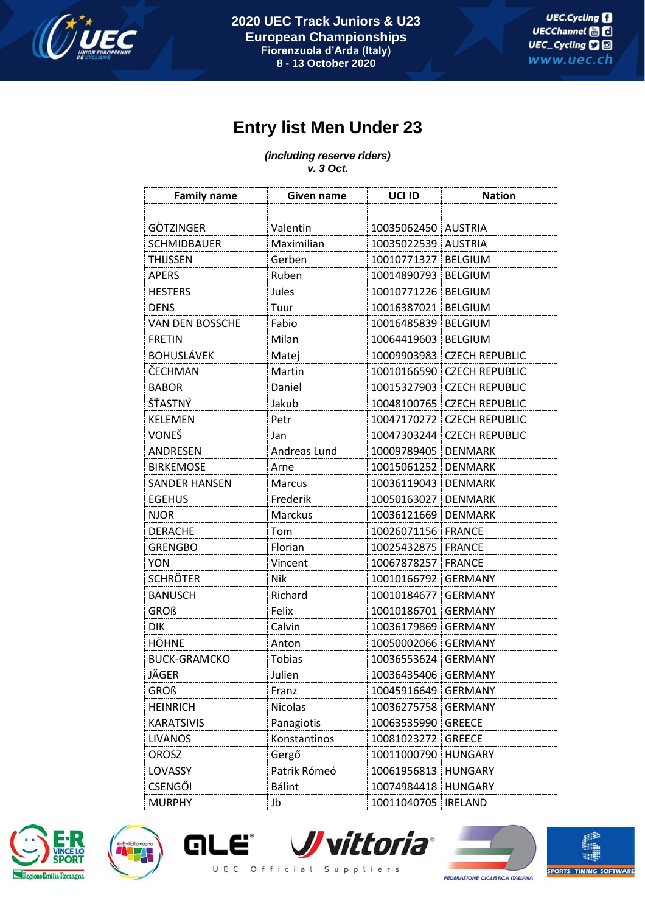

## **Entry list Men Under 23**

*(including reserve riders) v. 3 Oct.*

| <b>Family name</b>   | Given name    | UCI ID      | <b>Nation</b>         |
|----------------------|---------------|-------------|-----------------------|
|                      |               |             |                       |
| <b>GÖTZINGER</b>     | Valentin      | 10035062450 | <b>AUSTRIA</b>        |
| <b>SCHMIDBAUER</b>   | Maximilian    | 10035022539 | <b>AUSTRIA</b>        |
| <b>THIJSSEN</b>      | Gerben        | 10010771327 | <b>BELGIUM</b>        |
| <b>APERS</b>         | Ruben         | 10014890793 | <b>BELGIUM</b>        |
| <b>HESTERS</b>       | Jules         | 10010771226 | <b>BELGIUM</b>        |
| <b>DENS</b>          | Tuur          | 10016387021 | <b>BELGIUM</b>        |
| VAN DEN BOSSCHE      | Fabio         | 10016485839 | <b>BELGIUM</b>        |
| <b>FRETIN</b>        | Milan         | 10064419603 | <b>BELGIUM</b>        |
| <b>BOHUSLÁVEK</b>    | Matej         | 10009903983 | <b>CZECH REPUBLIC</b> |
| ČECHMAN              | Martin        | 10010166590 | <b>CZECH REPUBLIC</b> |
| <b>BABOR</b>         | Daniel        | 10015327903 | <b>CZECH REPUBLIC</b> |
| ŠŤASTNÝ              | Jakub         | 10048100765 | <b>CZECH REPUBLIC</b> |
| <b>KELEMEN</b>       | Petr          | 10047170272 | <b>CZECH REPUBLIC</b> |
| VONEŠ                | Jan           | 10047303244 | <b>CZECH REPUBLIC</b> |
| ANDRESEN             | Andreas Lund  | 10009789405 | <b>DENMARK</b>        |
| <b>BIRKEMOSE</b>     | Arne          | 10015061252 | <b>DENMARK</b>        |
| <b>SANDER HANSEN</b> | Marcus        | 10036119043 | <b>DENMARK</b>        |
| <b>EGEHUS</b>        | Frederik      | 10050163027 | <b>DENMARK</b>        |
| <b>NJOR</b>          | Marckus       | 10036121669 | <b>DENMARK</b>        |
| <b>DERACHE</b>       | Tom           | 10026071156 | <b>FRANCE</b>         |
| <b>GRENGBO</b>       | Florian       | 10025432875 | <b>FRANCE</b>         |
| <b>YON</b>           | Vincent       | 10067878257 | <b>FRANCE</b>         |
| <b>SCHRÖTER</b>      | Nik           | 10010166792 | <b>GERMANY</b>        |
| <b>BANUSCH</b>       | Richard       | 10010184677 | <b>GERMANY</b>        |
| <b>GROß</b>          | Felix         | 10010186701 | <b>GERMANY</b>        |
| <b>DIK</b>           | Calvin        | 10036179869 | <b>GERMANY</b>        |
| <b>HÖHNE</b>         | Anton         | 10050002066 | <b>GERMANY</b>        |
| <b>BUCK-GRAMCKO</b>  | <b>Tobias</b> | 10036553624 | <b>GERMANY</b>        |
| JÄGER                | Julien        | 10036435406 | <b>GERMANY</b>        |
| GROß                 | Franz         | 10045916649 | <b>GERMANY</b>        |
| <b>HEINRICH</b>      | Nicolas       | 10036275758 | <b>GERMANY</b>        |
| <b>KARATSIVIS</b>    | Panagiotis    | 10063535990 | <b>GREECE</b>         |
| <b>LIVANOS</b>       | Konstantinos  | 10081023272 | <b>GREECE</b>         |
| OROSZ                | Gergő         | 10011000790 | <b>HUNGARY</b>        |
| LOVASSY              | Patrik Rómeó  | 10061956813 | <b>HUNGARY</b>        |
| <b>CSENGŐI</b>       | <b>Bálint</b> | 10074984418 | <b>HUNGARY</b>        |
| <b>MURPHY</b>        | Jb            | 10011040705 | <b>IRELAND</b>        |





*JJvittoria* **GLE** UEC Official Suppliers



臨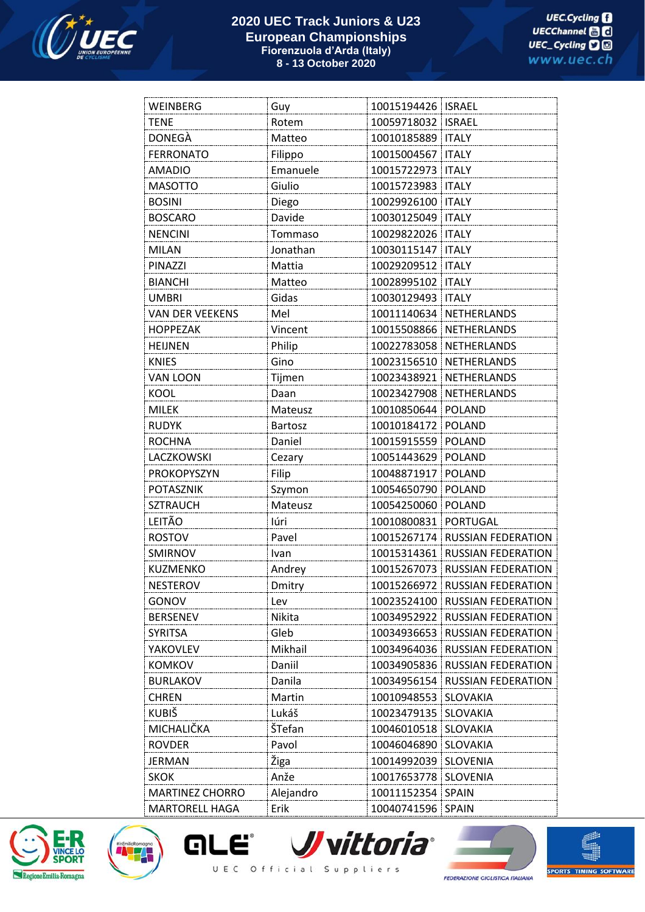

## **2020 UEC Track Juniors & U23 European Championships Fiorenzuola d'Arda (Italy) 8 - 13 October 2020**

| WEINBERG               | Guy            | 10015194426   ISRAEL |                                  |
|------------------------|----------------|----------------------|----------------------------------|
| <b>TENE</b>            | Rotem          | 10059718032   ISRAEL |                                  |
| DONEGÀ                 | Matteo         | 10010185889          | <b>ITALY</b>                     |
| <b>FERRONATO</b>       | Filippo        | 10015004567   ITALY  |                                  |
| <b>AMADIO</b>          | Emanuele       | 10015722973          | <b>ITALY</b>                     |
| <b>MASOTTO</b>         | Giulio         | 10015723983          | <b>ITALY</b>                     |
| <b>BOSINI</b>          | Diego          | 10029926100          | <b>ITALY</b>                     |
| <b>BOSCARO</b>         | Davide         | 10030125049          | <b>ITALY</b>                     |
| <b>NENCINI</b>         | Tommaso        | 10029822026          | <b>ITALY</b>                     |
| <b>MILAN</b>           | Jonathan       | 10030115147          | <b>ITALY</b>                     |
| <b>PINAZZI</b>         | Mattia         | 10029209512          | <b>ITALY</b>                     |
| <b>BIANCHI</b>         | Matteo         | 10028995102          | <b>ITALY</b>                     |
| <b>UMBRI</b>           | Gidas          | 10030129493          | <b>ITALY</b>                     |
| <b>VAN DER VEEKENS</b> | Mel            |                      | 10011140634 NETHERLANDS          |
| <b>HOPPEZAK</b>        | Vincent        |                      | 10015508866 NETHERLANDS          |
| <b>HEIJNEN</b>         | Philip         | 10022783058          | NETHERLANDS                      |
| <b>KNIES</b>           | Gino           |                      | 10023156510 NETHERLANDS          |
| VAN LOON               | Tijmen         | 10023438921          | NETHERLANDS                      |
| KOOL                   | Daan           |                      | 10023427908 NETHERLANDS          |
| <b>MILEK</b>           | Mateusz        | 10010850644          | <b>POLAND</b>                    |
| <b>RUDYK</b>           | <b>Bartosz</b> | 10010184172          | <b>POLAND</b>                    |
| <b>ROCHNA</b>          | Daniel         | 10015915559          | <b>POLAND</b>                    |
| LACZKOWSKI             | Cezary         | 10051443629          | <b>POLAND</b>                    |
| PROKOPYSZYN            | Filip          | 10048871917          | <b>POLAND</b>                    |
| <b>POTASZNIK</b>       | Szymon         | 10054650790          | <b>POLAND</b>                    |
| <b>SZTRAUCH</b>        | Mateusz        | 10054250060 POLAND   |                                  |
| LEITÃO                 | Iúri           | 10010800831          | <b>PORTUGAL</b>                  |
| <b>ROSTOV</b>          | Pavel          |                      | 10015267174 RUSSIAN FEDERATION   |
| SMIRNOV                | Ivan           | 10015314361          | RUSSIAN FEDERATION               |
| KUZMENKO               | Andrey         |                      | 10015267073 RUSSIAN FEDERATION   |
| <b>NESTEROV</b>        | Dmitry         |                      | 10015266972   RUSSIAN FEDERATION |
| GONOV                  | Lev            | 10023524100          | <b>RUSSIAN FEDERATION</b>        |
| <b>BERSENEV</b>        | Nikita         | 10034952922          | <b>RUSSIAN FEDERATION</b>        |
| <b>SYRITSA</b>         | Gleb           |                      | 10034936653 RUSSIAN FEDERATION   |
| YAKOVLEV               | Mikhail        |                      | 10034964036 RUSSIAN FEDERATION   |
| <b>KOMKOV</b>          | Daniil         | 10034905836          | <b>RUSSIAN FEDERATION</b>        |
| <b>BURLAKOV</b>        | Danila         | 10034956154          | RUSSIAN FEDERATION               |
| <b>CHREN</b>           | Martin         | 10010948553          | <b>SLOVAKIA</b>                  |
| <b>KUBIŠ</b>           | Lukáš          | 10023479135          | <b>SLOVAKIA</b>                  |
| MICHALIČKA             | ŠTefan         | 10046010518          | SLOVAKIA                         |
| <b>ROVDER</b>          | Pavol          | 10046046890          | SLOVAKIA                         |
| JERMAN                 | Žiga           | 10014992039          | <b>SLOVENIA</b>                  |
| <b>SKOK</b>            | Anže           | 10017653778          | <b>SLOVENIA</b>                  |
| <b>MARTINEZ CHORRO</b> | Alejandro      | 10011152354          | <b>SPAIN</b>                     |
| <b>MARTORELL HAGA</b>  | Erik           | 10040741596 SPAIN    |                                  |





*JJ vittoria* **GLE** UEC Official Suppliers